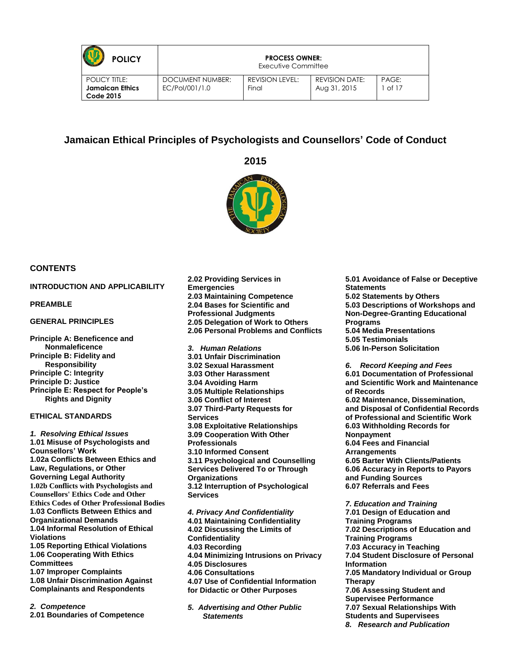| <b>POLICY</b>                                                      | <b>PROCESS OWNER:</b><br>Executive Committee |                          |                                       |                  |
|--------------------------------------------------------------------|----------------------------------------------|--------------------------|---------------------------------------|------------------|
| <b>POLICY TITLE:</b><br><b>Jamaican Ethics</b><br><b>Code 2015</b> | <b>DOCUMENT NUMBER:</b><br>EC/Pol/001/1.0    | REVISION LEVEL:<br>Final | <b>REVISION DATE:</b><br>Aug 31, 2015 | PAGF:<br>1 of 17 |

# **Jamaican Ethical Principles of Psychologists and Counsellors' Code of Conduct**

**2015**



#### **CONTENTS**

#### **[INTRODUCTION AND APPLICABILITY](#page-2-0)**

**[PREAMBLE](#page-2-1)**

#### **[GENERAL PRINCIPLES](#page-3-0)**

**[Principle A: Beneficence and](#page-3-1)  [Nonmaleficence](#page-3-1) [Principle B: Fidelity and](#page-3-2)  [Responsibility](#page-3-2) [Principle C: Integrity](#page-3-3) [Principle D: Justice](#page-3-4) [Principle E: Respect for People's](#page-4-0)  [Rights and Dignity](#page-4-0)**

#### **[ETHICAL STANDARDS](#page-4-1)**

*[1. Resolving Ethical Issues](#page-4-2)* **[1.01 Misuse of Psychologists and](#page-4-3)  [Counsellors' Work](#page-4-3) 1.02a [Conflicts Between Ethics and](#page-4-4)  [Law, Regulations, or Other](#page-4-4)  [Governing Legal Authority](#page-4-4) 1.02b Conflicts with Psychologists and Counsellors' Ethics Code and Other Ethics Codes of Other Professional Bodies [1.03 Conflicts Between Ethics and](#page-4-5)  [Organizational Demands](#page-4-5) [1.04 Informal Resolution of Ethical](#page-4-6)  [Violations](#page-4-6) [1.05 Reporting Ethical Violations](#page-4-7) [1.06 Cooperating With Ethics](#page-5-0)  [Committees](#page-5-0) [1.07 Improper Complaints](#page-5-1) [1.08 Unfair Discrimination Against](#page-5-2)  [Complainants and Respondents](#page-5-2)**

*[2. Competence](#page-5-3)* **[2.01 Boundaries of Competence](#page-5-4)** **[2.02 Providing Services in](#page-5-5)  [Emergencies](#page-5-5) [2.03 Maintaining Competence](#page-5-6) [2.04 Bases for Scientific and](#page-6-0)  [Professional Judgments](#page-6-0) [2.05 Delegation of Work to Others](#page-6-1) [2.06 Personal Problems and Conflicts](#page-6-2)** *[3. Human Relations](#page-6-3)* **3.01 Unfair Discrimination 3.02 Sexual Harassment 3.03 Other Harassment 3.04 Avoiding Harm 3.05 Multiple Relationships 3.06 Conflict of Interest 3.07 Third-Party Requests for Services 3.08 Exploitative Relationships 3.09 Cooperation With Other Professionals 3.10 Informed Consent 3.11 Psychological and Counselling Services Delivered To or Through Organizations 3.12 Interruption of Psychological** 

**Services** *[4. Privacy And Confidentiality](#page-8-0)* **[4.01 Maintaining Confidentiality](#page-8-1) [4.02 Discussing the Limits of](#page-8-2)  [Confidentiality](#page-8-2) [4.03 Recording](#page-8-3) [4.04 Minimizing Intrusions on Privacy](#page-8-4) [4.05 Disclosures](#page-9-0) [4.06 Consultations](#page-9-1) [4.07 Use of Confidential Information](#page-9-2)  [for Didactic or Other Purposes](#page-9-2)**

*[5. Advertising and Other Public](#page-9-3)  [Statements](#page-9-3)*

**[5.01 Avoidance of False or Deceptive](#page-9-4)  [Statements](#page-9-4) [5.02 Statements by Others](#page-9-5) [5.03 Descriptions of Workshops and](#page-9-6)  [Non-Degree-Granting Educational](#page-9-6)  [Programs](#page-9-6) [5.04 Media Presentations](#page-10-0) [5.05 Testimonials](#page-10-1) [5.06 In-Person Solicitation](#page-10-2)** *[6. Record Keeping and Fees](#page-10-3)* **6.01 Documentation of Professional and Scientific Work and Maintenance of Records 6.02 Maintenance, Dissemination, and Disposal of Confidential Records of Professional and Scientific Work 6.03 Withholding Records for Nonpayment 6.04 Fees and Financial** 

**Arrangements 6.05 Barter With Clients/Patients 6.06 Accuracy in Reports to Payors and Funding Sources 6.07 Referrals and Fees**

*[7. Education and Training](#page-11-0)* **[7.01 Design of Education and](#page-11-1)  [Training Programs](#page-11-1) [7.02 Descriptions of Education and](#page-11-2)  [Training Programs](#page-11-2) [7.03 Accuracy in Teaching](#page-11-3) [7.04 Student Disclosure of Personal](#page-11-4)  [Information](#page-11-4) [7.05 Mandatory Individual or Group](#page-12-0)  [Therapy](#page-12-0) [7.06 Assessing Student and](#page-12-1)  [Supervisee Performance](#page-12-1) [7.07 Sexual Relationships With](#page-12-2)  [Students and Supervisees](#page-12-2)** *[8. Research and Publication](#page-12-3)*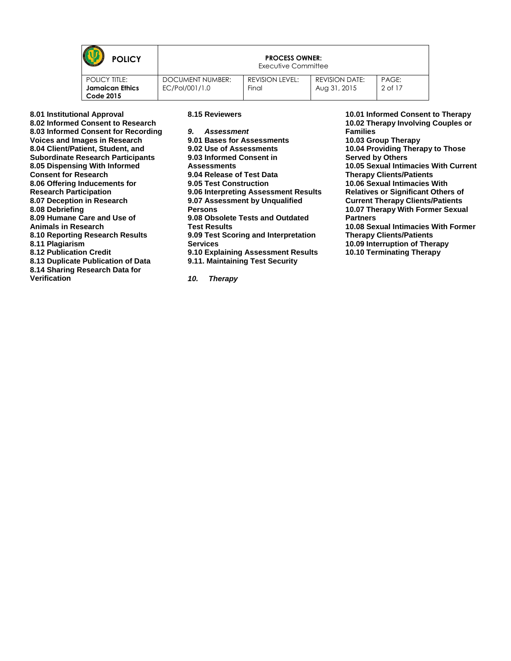| <b>POLICY</b>                                                      | <b>PROCESS OWNER:</b><br>Executive Committee |                          |                                       |                  |
|--------------------------------------------------------------------|----------------------------------------------|--------------------------|---------------------------------------|------------------|
| <b>POLICY TITLE:</b><br><b>Jamaican Ethics</b><br><b>Code 2015</b> | DOCUMENT NUMBER:<br>EC/Pol/001/1.0           | REVISION LEVEL:<br>Final | <b>REVISION DATE:</b><br>Aug 31, 2015 | PAGE:<br>2 of 17 |

| 8.01 Institutional Approval              | 8.15 Reviewers                       |  |
|------------------------------------------|--------------------------------------|--|
| 8.02 Informed Consent to Research        |                                      |  |
| 8.03 Informed Consent for Recording      | 9. Assessment                        |  |
| Voices and Images in Research            | 9.01 Bases for Assessments           |  |
| 8.04 Client/Patient, Student, and        | 9.02 Use of Assessments              |  |
| <b>Subordinate Research Participants</b> | 9.03 Informed Consent in             |  |
| 8.05 Dispensing With Informed            | <b>Assessments</b>                   |  |
| <b>Consent for Research</b>              | 9.04 Release of Test Data            |  |
| 8.06 Offering Inducements for            | 9.05 Test Construction               |  |
| <b>Research Participation</b>            | 9.06 Interpreting Assessment Results |  |
| 8.07 Deception in Research               | 9.07 Assessment by Unqualified       |  |
| 8.08 Debriefing                          | <b>Persons</b>                       |  |
| 8.09 Humane Care and Use of              | 9.08 Obsolete Tests and Outdated     |  |
| Animals in Research                      | <b>Test Results</b>                  |  |
| 8.10 Reporting Research Results          | 9.09 Test Scoring and Interpretation |  |
| 8.11 Plagiarism                          | <b>Services</b>                      |  |
| <b>8.12 Publication Credit</b>           | 9.10 Explaining Assessment Results   |  |
| 8.13 Duplicate Publication of Data       | 9.11. Maintaining Test Security      |  |
| 8.14 Sharing Research Data for           |                                      |  |

**[Verification](#page-14-4)**

*[10. Therapy](#page-17-0)*

**[10.01 Informed Consent to Therapy](#page-17-1) [10.02 Therapy Involving Couples or](#page-17-2)  [Families](#page-17-2) [10.03 Group Therapy](#page-17-3) [10.04 Providing Therapy to Those](#page-17-4)  [Served by Others](#page-17-4) [10.05 Sexual Intimacies With Current](#page-17-5)  [Therapy Clients/Patients](#page-17-5) [10.06 Sexual Intimacies With](#page-17-6)  [Relatives or Significant Others of](#page-17-6)  [Current Therapy Clients/Patients](#page-17-6) [10.07 Therapy With Former Sexual](#page-17-7)  [Partners](#page-17-7) [10.08 Sexual Intimacies With Former](#page-17-8)  [Therapy Clients/Patients](#page-17-8) [10.09 Interruption of Therapy](#page-18-0)**

**[10.10 Terminating Therapy](#page-18-1)**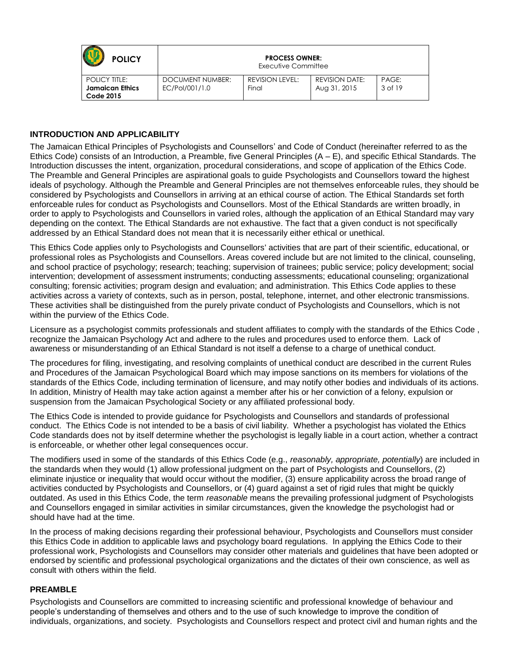| <b>POLICY</b>                                                      |                                    | <b>PROCESS OWNER:</b><br>Executive Committee |                                       |                  |  |
|--------------------------------------------------------------------|------------------------------------|----------------------------------------------|---------------------------------------|------------------|--|
| <b>POLICY TITLE:</b><br><b>Jamaican Ethics</b><br><b>Code 2015</b> | DOCUMENT NUMBER:<br>EC/Pol/001/1.0 | REVISION LEVEL:<br>Final                     | <b>REVISION DATE:</b><br>Aug 31, 2015 | PAGE:<br>3 of 19 |  |

## <span id="page-2-0"></span>**INTRODUCTION AND APPLICABILITY**

The Jamaican Ethical Principles of Psychologists and Counsellors' and Code of Conduct (hereinafter referred to as the Ethics Code) consists of an Introduction, a Preamble, five General Principles (A – E), and specific Ethical Standards. The Introduction discusses the intent, organization, procedural considerations, and scope of application of the Ethics Code. The Preamble and General Principles are aspirational goals to guide Psychologists and Counsellors toward the highest ideals of psychology. Although the Preamble and General Principles are not themselves enforceable rules, they should be considered by Psychologists and Counsellors in arriving at an ethical course of action. The Ethical Standards set forth enforceable rules for conduct as Psychologists and Counsellors. Most of the Ethical Standards are written broadly, in order to apply to Psychologists and Counsellors in varied roles, although the application of an Ethical Standard may vary depending on the context. The Ethical Standards are not exhaustive. The fact that a given conduct is not specifically addressed by an Ethical Standard does not mean that it is necessarily either ethical or unethical.

This Ethics Code applies only to Psychologists and Counsellors' activities that are part of their scientific, educational, or professional roles as Psychologists and Counsellors. Areas covered include but are not limited to the clinical, counseling, and school practice of psychology; research; teaching; supervision of trainees; public service; policy development; social intervention; development of assessment instruments; conducting assessments; educational counseling; organizational consulting; forensic activities; program design and evaluation; and administration. This Ethics Code applies to these activities across a variety of contexts, such as in person, postal, telephone, internet, and other electronic transmissions. These activities shall be distinguished from the purely private conduct of Psychologists and Counsellors, which is not within the purview of the Ethics Code.

Licensure as a psychologist commits professionals and student affiliates to comply with the standards of the Ethics Code , recognize the Jamaican Psychology Act and adhere to the rules and procedures used to enforce them. Lack of awareness or misunderstanding of an Ethical Standard is not itself a defense to a charge of unethical conduct.

The procedures for filing, investigating, and resolving complaints of unethical conduct are described in the current Rules and Procedures of the Jamaican Psychological Board which may impose sanctions on its members for violations of the standards of the Ethics Code, including termination of licensure, and may notify other bodies and individuals of its actions. In addition, Ministry of Health may take action against a member after his or her conviction of a felony, expulsion or suspension from the Jamaican Psychological Society or any affiliated professional body.

The Ethics Code is intended to provide guidance for Psychologists and Counsellors and standards of professional conduct. The Ethics Code is not intended to be a basis of civil liability. Whether a psychologist has violated the Ethics Code standards does not by itself determine whether the psychologist is legally liable in a court action, whether a contract is enforceable, or whether other legal consequences occur.

The modifiers used in some of the standards of this Ethics Code (e.g., *reasonably, appropriate, potentially*) are included in the standards when they would (1) allow professional judgment on the part of Psychologists and Counsellors, (2) eliminate injustice or inequality that would occur without the modifier, (3) ensure applicability across the broad range of activities conducted by Psychologists and Counsellors, or (4) guard against a set of rigid rules that might be quickly outdated. As used in this Ethics Code, the term *reasonable* means the prevailing professional judgment of Psychologists and Counsellors engaged in similar activities in similar circumstances, given the knowledge the psychologist had or should have had at the time.

In the process of making decisions regarding their professional behaviour, Psychologists and Counsellors must consider this Ethics Code in addition to applicable laws and psychology board regulations. In applying the Ethics Code to their professional work, Psychologists and Counsellors may consider other materials and guidelines that have been adopted or endorsed by scientific and professional psychological organizations and the dictates of their own conscience, as well as consult with others within the field.

### <span id="page-2-1"></span>**PREAMBLE**

Psychologists and Counsellors are committed to increasing scientific and professional knowledge of behaviour and people's understanding of themselves and others and to the use of such knowledge to improve the condition of individuals, organizations, and society. Psychologists and Counsellors respect and protect civil and human rights and the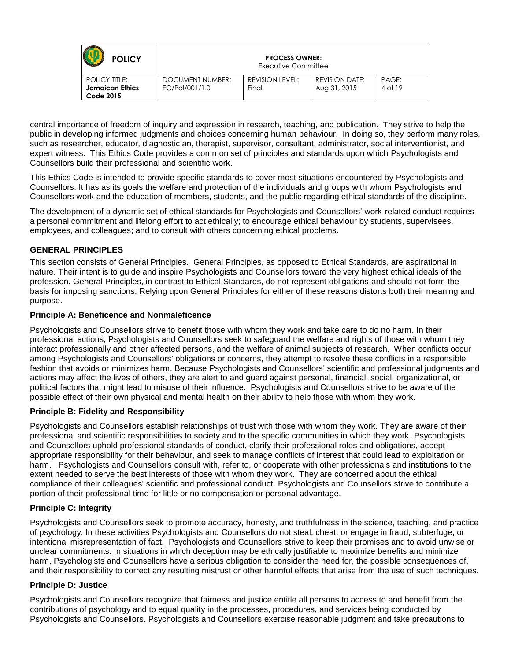| <b>POLICY</b>                                                      | <b>PROCESS OWNER:</b><br>Executive Committee |                          |                                       |                  |
|--------------------------------------------------------------------|----------------------------------------------|--------------------------|---------------------------------------|------------------|
| <b>POLICY TITLE:</b><br><b>Jamaican Ethics</b><br><b>Code 2015</b> | DOCUMENT NUMBER:<br>EC/Pol/001/1.0           | REVISION LEVEL:<br>Final | <b>REVISION DATE:</b><br>Aug 31, 2015 | PAGE:<br>4 of 19 |

central importance of freedom of inquiry and expression in research, teaching, and publication. They strive to help the public in developing informed judgments and choices concerning human behaviour. In doing so, they perform many roles, such as researcher, educator, diagnostician, therapist, supervisor, consultant, administrator, social interventionist, and expert witness. This Ethics Code provides a common set of principles and standards upon which Psychologists and Counsellors build their professional and scientific work.

This Ethics Code is intended to provide specific standards to cover most situations encountered by Psychologists and Counsellors. It has as its goals the welfare and protection of the individuals and groups with whom Psychologists and Counsellors work and the education of members, students, and the public regarding ethical standards of the discipline.

The development of a dynamic set of ethical standards for Psychologists and Counsellors' work-related conduct requires a personal commitment and lifelong effort to act ethically; to encourage ethical behaviour by students, supervisees, employees, and colleagues; and to consult with others concerning ethical problems.

# <span id="page-3-0"></span>**GENERAL PRINCIPLES**

This section consists of General Principles. General Principles, as opposed to Ethical Standards, are aspirational in nature. Their intent is to guide and inspire Psychologists and Counsellors toward the very highest ethical ideals of the profession. General Principles, in contrast to Ethical Standards, do not represent obligations and should not form the basis for imposing sanctions. Relying upon General Principles for either of these reasons distorts both their meaning and purpose.

### <span id="page-3-1"></span>**Principle A: Beneficence and Nonmaleficence**

Psychologists and Counsellors strive to benefit those with whom they work and take care to do no harm. In their professional actions, Psychologists and Counsellors seek to safeguard the welfare and rights of those with whom they interact professionally and other affected persons, and the welfare of animal subjects of research. When conflicts occur among Psychologists and Counsellors' obligations or concerns, they attempt to resolve these conflicts in a responsible fashion that avoids or minimizes harm. Because Psychologists and Counsellors' scientific and professional judgments and actions may affect the lives of others, they are alert to and guard against personal, financial, social, organizational, or political factors that might lead to misuse of their influence. Psychologists and Counsellors strive to be aware of the possible effect of their own physical and mental health on their ability to help those with whom they work.

## <span id="page-3-2"></span>**Principle B: Fidelity and Responsibility**

Psychologists and Counsellors establish relationships of trust with those with whom they work. They are aware of their professional and scientific responsibilities to society and to the specific communities in which they work. Psychologists and Counsellors uphold professional standards of conduct, clarify their professional roles and obligations, accept appropriate responsibility for their behaviour, and seek to manage conflicts of interest that could lead to exploitation or harm. Psychologists and Counsellors consult with, refer to, or cooperate with other professionals and institutions to the extent needed to serve the best interests of those with whom they work. They are concerned about the ethical compliance of their colleagues' scientific and professional conduct. Psychologists and Counsellors strive to contribute a portion of their professional time for little or no compensation or personal advantage.

## <span id="page-3-3"></span>**Principle C: Integrity**

Psychologists and Counsellors seek to promote accuracy, honesty, and truthfulness in the science, teaching, and practice of psychology. In these activities Psychologists and Counsellors do not steal, cheat, or engage in fraud, subterfuge, or intentional misrepresentation of fact. Psychologists and Counsellors strive to keep their promises and to avoid unwise or unclear commitments. In situations in which deception may be ethically justifiable to maximize benefits and minimize harm, Psychologists and Counsellors have a serious obligation to consider the need for, the possible consequences of, and their responsibility to correct any resulting mistrust or other harmful effects that arise from the use of such techniques.

## <span id="page-3-4"></span>**Principle D: Justice**

Psychologists and Counsellors recognize that fairness and justice entitle all persons to access to and benefit from the contributions of psychology and to equal quality in the processes, procedures, and services being conducted by Psychologists and Counsellors. Psychologists and Counsellors exercise reasonable judgment and take precautions to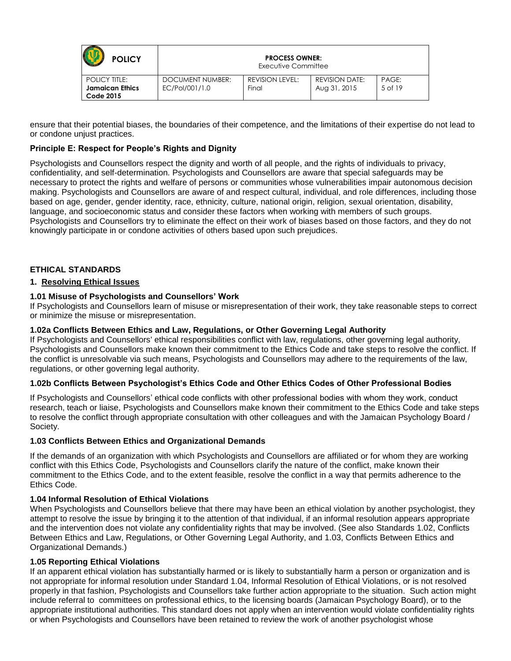| <b>POLICY</b>                                               | <b>PROCESS OWNER:</b><br>Executive Committee |                          |                                       |                  |
|-------------------------------------------------------------|----------------------------------------------|--------------------------|---------------------------------------|------------------|
| <b>POLICY TITLE:</b><br><b>Jamaican Ethics</b><br>Code 2015 | DOCUMENT NUMBER:<br>EC/Pol/001/1.0           | REVISION LEVEL:<br>Final | <b>REVISION DATE:</b><br>Aug 31, 2015 | PAGE:<br>5 of 19 |

ensure that their potential biases, the boundaries of their competence, and the limitations of their expertise do not lead to or condone unjust practices.

## <span id="page-4-0"></span>**Principle E: Respect for People's Rights and Dignity**

Psychologists and Counsellors respect the dignity and worth of all people, and the rights of individuals to privacy, confidentiality, and self-determination. Psychologists and Counsellors are aware that special safeguards may be necessary to protect the rights and welfare of persons or communities whose vulnerabilities impair autonomous decision making. Psychologists and Counsellors are aware of and respect cultural, individual, and role differences, including those based on age, gender, gender identity, race, ethnicity, culture, national origin, religion, sexual orientation, disability, language, and socioeconomic status and consider these factors when working with members of such groups. Psychologists and Counsellors try to eliminate the effect on their work of biases based on those factors, and they do not knowingly participate in or condone activities of others based upon such prejudices.

### <span id="page-4-1"></span>**ETHICAL STANDARDS**

### <span id="page-4-2"></span>**1. Resolving Ethical Issues**

### <span id="page-4-3"></span>**1.01 Misuse of Psychologists and Counsellors' Work**

If Psychologists and Counsellors learn of misuse or misrepresentation of their work, they take reasonable steps to correct or minimize the misuse or misrepresentation.

### <span id="page-4-4"></span>**1.02a Conflicts Between Ethics and Law, Regulations, or Other Governing Legal Authority**

If Psychologists and Counsellors' ethical responsibilities conflict with law, regulations, other governing legal authority, Psychologists and Counsellors make known their commitment to the Ethics Code and take steps to resolve the conflict. If the conflict is unresolvable via such means, Psychologists and Counsellors may adhere to the requirements of the law, regulations, or other governing legal authority.

#### **1.02b Conflicts Between Psychologist's Ethics Code and Other Ethics Codes of Other Professional Bodies**

If Psychologists and Counsellors' ethical code conflicts with other professional bodies with whom they work, conduct research, teach or liaise, Psychologists and Counsellors make known their commitment to the Ethics Code and take steps to resolve the conflict through appropriate consultation with other colleagues and with the Jamaican Psychology Board / Society.

#### <span id="page-4-5"></span>**1.03 Conflicts Between Ethics and Organizational Demands**

If the demands of an organization with which Psychologists and Counsellors are affiliated or for whom they are working conflict with this Ethics Code, Psychologists and Counsellors clarify the nature of the conflict, make known their commitment to the Ethics Code, and to the extent feasible, resolve the conflict in a way that permits adherence to the Ethics Code.

#### <span id="page-4-6"></span>**1.04 Informal Resolution of Ethical Violations**

When Psychologists and Counsellors believe that there may have been an ethical violation by another psychologist, they attempt to resolve the issue by bringing it to the attention of that individual, if an informal resolution appears appropriate and the intervention does not violate any confidentiality rights that may be involved. (See also Standards 1.02, Conflicts Between Ethics and Law, Regulations, or Other Governing Legal Authority, and 1.03, Conflicts Between Ethics and Organizational Demands.)

#### <span id="page-4-7"></span>**1.05 Reporting Ethical Violations**

If an apparent ethical violation has substantially harmed or is likely to substantially harm a person or organization and is not appropriate for informal resolution under Standard 1.04, Informal Resolution of Ethical Violations, or is not resolved properly in that fashion, Psychologists and Counsellors take further action appropriate to the situation. Such action might include referral to committees on professional ethics, to the licensing boards (Jamaican Psychology Board), or to the appropriate institutional authorities. This standard does not apply when an intervention would violate confidentiality rights or when Psychologists and Counsellors have been retained to review the work of another psychologist whose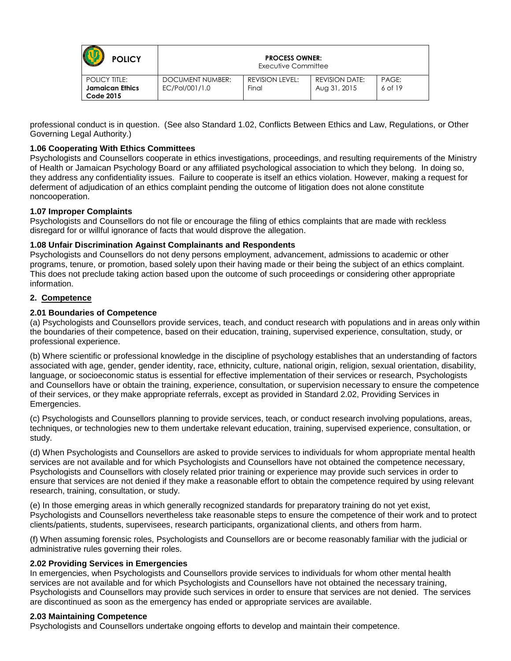| <b>POLICY</b>                                                      | <b>PROCESS OWNER:</b><br>Executive Committee |                          |                                       |                  |
|--------------------------------------------------------------------|----------------------------------------------|--------------------------|---------------------------------------|------------------|
| <b>POLICY TITLE:</b><br><b>Jamaican Ethics</b><br><b>Code 2015</b> | DOCUMENT NUMBER:<br>EC/Pol/001/1.0           | REVISION LEVEL:<br>Final | <b>REVISION DATE:</b><br>Aug 31, 2015 | PAGE:<br>6 of 19 |

professional conduct is in question. (See also Standard 1.02, Conflicts Between Ethics and Law, Regulations, or Other Governing Legal Authority.)

# <span id="page-5-0"></span>**1.06 Cooperating With Ethics Committees**

Psychologists and Counsellors cooperate in ethics investigations, proceedings, and resulting requirements of the Ministry of Health or Jamaican Psychology Board or any affiliated psychological association to which they belong. In doing so, they address any confidentiality issues. Failure to cooperate is itself an ethics violation. However, making a request for deferment of adjudication of an ethics complaint pending the outcome of litigation does not alone constitute noncooperation.

## <span id="page-5-1"></span>**1.07 Improper Complaints**

Psychologists and Counsellors do not file or encourage the filing of ethics complaints that are made with reckless disregard for or willful ignorance of facts that would disprove the allegation.

## <span id="page-5-2"></span>**1.08 Unfair Discrimination Against Complainants and Respondents**

Psychologists and Counsellors do not deny persons employment, advancement, admissions to academic or other programs, tenure, or promotion, based solely upon their having made or their being the subject of an ethics complaint. This does not preclude taking action based upon the outcome of such proceedings or considering other appropriate information.

# <span id="page-5-3"></span>**2. Competence**

# <span id="page-5-4"></span>**2.01 Boundaries of Competence**

(a) Psychologists and Counsellors provide services, teach, and conduct research with populations and in areas only within the boundaries of their competence, based on their education, training, supervised experience, consultation, study, or professional experience.

(b) Where scientific or professional knowledge in the discipline of psychology establishes that an understanding of factors associated with age, gender, gender identity, race, ethnicity, culture, national origin, religion, sexual orientation, disability, language, or socioeconomic status is essential for effective implementation of their services or research, Psychologists and Counsellors have or obtain the training, experience, consultation, or supervision necessary to ensure the competence of their services, or they make appropriate referrals, except as provided in Standard 2.02, Providing Services in Emergencies.

(c) Psychologists and Counsellors planning to provide services, teach, or conduct research involving populations, areas, techniques, or technologies new to them undertake relevant education, training, supervised experience, consultation, or study.

(d) When Psychologists and Counsellors are asked to provide services to individuals for whom appropriate mental health services are not available and for which Psychologists and Counsellors have not obtained the competence necessary, Psychologists and Counsellors with closely related prior training or experience may provide such services in order to ensure that services are not denied if they make a reasonable effort to obtain the competence required by using relevant research, training, consultation, or study.

(e) In those emerging areas in which generally recognized standards for preparatory training do not yet exist, Psychologists and Counsellors nevertheless take reasonable steps to ensure the competence of their work and to protect clients/patients, students, supervisees, research participants, organizational clients, and others from harm.

(f) When assuming forensic roles, Psychologists and Counsellors are or become reasonably familiar with the judicial or administrative rules governing their roles.

## <span id="page-5-5"></span>**2.02 Providing Services in Emergencies**

In emergencies, when Psychologists and Counsellors provide services to individuals for whom other mental health services are not available and for which Psychologists and Counsellors have not obtained the necessary training, Psychologists and Counsellors may provide such services in order to ensure that services are not denied. The services are discontinued as soon as the emergency has ended or appropriate services are available.

## <span id="page-5-6"></span>**2.03 Maintaining Competence**

Psychologists and Counsellors undertake ongoing efforts to develop and maintain their competence.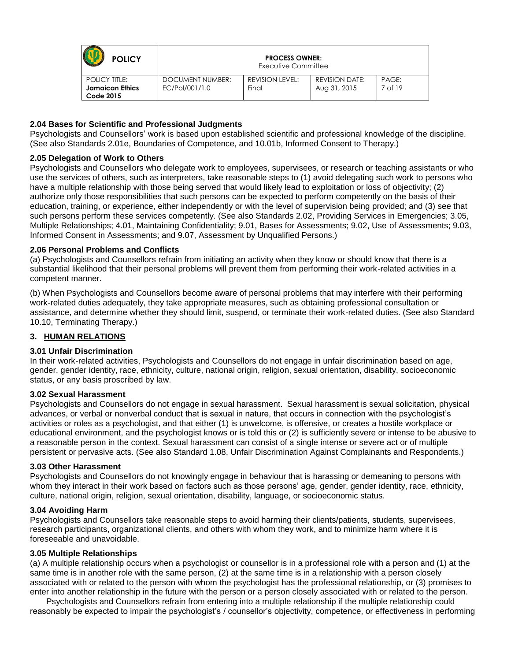| <b>POLICY</b>                                                      |                                    | <b>PROCESS OWNER:</b><br>Executive Committee |                                       |                  |  |
|--------------------------------------------------------------------|------------------------------------|----------------------------------------------|---------------------------------------|------------------|--|
| <b>POLICY TITLE:</b><br><b>Jamaican Ethics</b><br><b>Code 2015</b> | DOCUMENT NUMBER:<br>EC/Pol/001/1.0 | <b>REVISION LEVEL:</b><br>Final              | <b>REVISION DATE:</b><br>Aug 31, 2015 | PAGE:<br>7 of 19 |  |

### <span id="page-6-0"></span>**2.04 Bases for Scientific and Professional Judgments**

Psychologists and Counsellors' work is based upon established scientific and professional knowledge of the discipline. (See also Standards 2.01e, Boundaries of Competence, and 10.01b, Informed Consent to Therapy.)

#### <span id="page-6-1"></span>**2.05 Delegation of Work to Others**

Psychologists and Counsellors who delegate work to employees, supervisees, or research or teaching assistants or who use the services of others, such as interpreters, take reasonable steps to (1) avoid delegating such work to persons who have a multiple relationship with those being served that would likely lead to exploitation or loss of objectivity; (2) authorize only those responsibilities that such persons can be expected to perform competently on the basis of their education, training, or experience, either independently or with the level of supervision being provided; and (3) see that such persons perform these services competently. (See also Standards 2.02, Providing Services in Emergencies; 3.05, Multiple Relationships; 4.01, Maintaining Confidentiality; 9.01, Bases for Assessments; 9.02, Use of Assessments; 9.03, Informed Consent in Assessments; and 9.07, Assessment by Unqualified Persons.)

### <span id="page-6-2"></span>**2.06 Personal Problems and Conflicts**

(a) Psychologists and Counsellors refrain from initiating an activity when they know or should know that there is a substantial likelihood that their personal problems will prevent them from performing their work-related activities in a competent manner.

(b) When Psychologists and Counsellors become aware of personal problems that may interfere with their performing work-related duties adequately, they take appropriate measures, such as obtaining professional consultation or assistance, and determine whether they should limit, suspend, or terminate their work-related duties. (See also Standard 10.10, Terminating Therapy.)

## <span id="page-6-3"></span>**3. HUMAN RELATIONS**

## **3.01 Unfair Discrimination**

In their work-related activities, Psychologists and Counsellors do not engage in unfair discrimination based on age, gender, gender identity, race, ethnicity, culture, national origin, religion, sexual orientation, disability, socioeconomic status, or any basis proscribed by law.

#### **3.02 Sexual Harassment**

Psychologists and Counsellors do not engage in sexual harassment. Sexual harassment is sexual solicitation, physical advances, or verbal or nonverbal conduct that is sexual in nature, that occurs in connection with the psychologist's activities or roles as a psychologist, and that either (1) is unwelcome, is offensive, or creates a hostile workplace or educational environment, and the psychologist knows or is told this or (2) is sufficiently severe or intense to be abusive to a reasonable person in the context. Sexual harassment can consist of a single intense or severe act or of multiple persistent or pervasive acts. (See also Standard 1.08, Unfair Discrimination Against Complainants and Respondents.)

#### **3.03 Other Harassment**

Psychologists and Counsellors do not knowingly engage in behaviour that is harassing or demeaning to persons with whom they interact in their work based on factors such as those persons' age, gender, gender identity, race, ethnicity, culture, national origin, religion, sexual orientation, disability, language, or socioeconomic status.

#### **3.04 Avoiding Harm**

Psychologists and Counsellors take reasonable steps to avoid harming their clients/patients, students, supervisees, research participants, organizational clients, and others with whom they work, and to minimize harm where it is foreseeable and unavoidable.

#### **3.05 Multiple Relationships**

(a) A multiple relationship occurs when a psychologist or counsellor is in a professional role with a person and (1) at the same time is in another role with the same person, (2) at the same time is in a relationship with a person closely associated with or related to the person with whom the psychologist has the professional relationship, or (3) promises to enter into another relationship in the future with the person or a person closely associated with or related to the person.

 Psychologists and Counsellors refrain from entering into a multiple relationship if the multiple relationship could reasonably be expected to impair the psychologist's / counsellor's objectivity, competence, or effectiveness in performing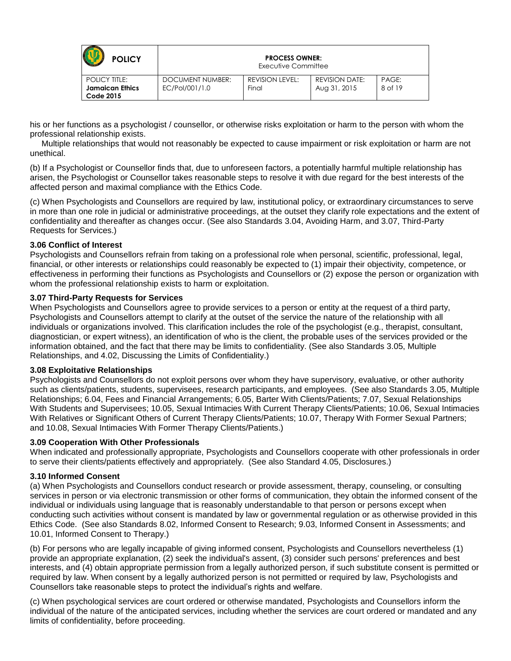| <b>POLICY</b>                                                      | <b>PROCESS OWNER:</b><br>Executive Committee |                          |                                       |                  |
|--------------------------------------------------------------------|----------------------------------------------|--------------------------|---------------------------------------|------------------|
| <b>POLICY TITLE:</b><br><b>Jamaican Ethics</b><br><b>Code 2015</b> | DOCUMENT NUMBER:<br>EC/Pol/001/1.0           | REVISION LEVEL:<br>Final | <b>REVISION DATE:</b><br>Aug 31, 2015 | PAGE:<br>8 of 19 |

his or her functions as a psychologist / counsellor, or otherwise risks exploitation or harm to the person with whom the professional relationship exists.

 Multiple relationships that would not reasonably be expected to cause impairment or risk exploitation or harm are not unethical.

(b) If a Psychologist or Counsellor finds that, due to unforeseen factors, a potentially harmful multiple relationship has arisen, the Psychologist or Counsellor takes reasonable steps to resolve it with due regard for the best interests of the affected person and maximal compliance with the Ethics Code.

(c) When Psychologists and Counsellors are required by law, institutional policy, or extraordinary circumstances to serve in more than one role in judicial or administrative proceedings, at the outset they clarify role expectations and the extent of confidentiality and thereafter as changes occur. (See also Standards 3.04, Avoiding Harm, and 3.07, Third-Party Requests for Services.)

### **3.06 Conflict of Interest**

Psychologists and Counsellors refrain from taking on a professional role when personal, scientific, professional, legal, financial, or other interests or relationships could reasonably be expected to (1) impair their objectivity, competence, or effectiveness in performing their functions as Psychologists and Counsellors or (2) expose the person or organization with whom the professional relationship exists to harm or exploitation.

### **3.07 Third-Party Requests for Services**

When Psychologists and Counsellors agree to provide services to a person or entity at the request of a third party, Psychologists and Counsellors attempt to clarify at the outset of the service the nature of the relationship with all individuals or organizations involved. This clarification includes the role of the psychologist (e.g., therapist, consultant, diagnostician, or expert witness), an identification of who is the client, the probable uses of the services provided or the information obtained, and the fact that there may be limits to confidentiality. (See also Standards 3.05, Multiple Relationships, and 4.02, Discussing the Limits of Confidentiality.)

#### **3.08 Exploitative Relationships**

Psychologists and Counsellors do not exploit persons over whom they have supervisory, evaluative, or other authority such as clients/patients, students, supervisees, research participants, and employees. (See also Standards 3.05, Multiple Relationships; 6.04, Fees and Financial Arrangements; 6.05, Barter With Clients/Patients; 7.07, Sexual Relationships With Students and Supervisees; 10.05, Sexual Intimacies With Current Therapy Clients/Patients; 10.06, Sexual Intimacies With Relatives or Significant Others of Current Therapy Clients/Patients; 10.07, Therapy With Former Sexual Partners; and 10.08, Sexual Intimacies With Former Therapy Clients/Patients.)

### **3.09 Cooperation With Other Professionals**

When indicated and professionally appropriate, Psychologists and Counsellors cooperate with other professionals in order to serve their clients/patients effectively and appropriately. (See also Standard 4.05, Disclosures.)

#### **3.10 Informed Consent**

(a) When Psychologists and Counsellors conduct research or provide assessment, therapy, counseling, or consulting services in person or via electronic transmission or other forms of communication, they obtain the informed consent of the individual or individuals using language that is reasonably understandable to that person or persons except when conducting such activities without consent is mandated by law or governmental regulation or as otherwise provided in this Ethics Code. (See also Standards 8.02, Informed Consent to Research; 9.03, Informed Consent in Assessments; and 10.01, Informed Consent to Therapy.)

(b) For persons who are legally incapable of giving informed consent, Psychologists and Counsellors nevertheless (1) provide an appropriate explanation, (2) seek the individual's assent, (3) consider such persons' preferences and best interests, and (4) obtain appropriate permission from a legally authorized person, if such substitute consent is permitted or required by law. When consent by a legally authorized person is not permitted or required by law, Psychologists and Counsellors take reasonable steps to protect the individual's rights and welfare.

(c) When psychological services are court ordered or otherwise mandated, Psychologists and Counsellors inform the individual of the nature of the anticipated services, including whether the services are court ordered or mandated and any limits of confidentiality, before proceeding.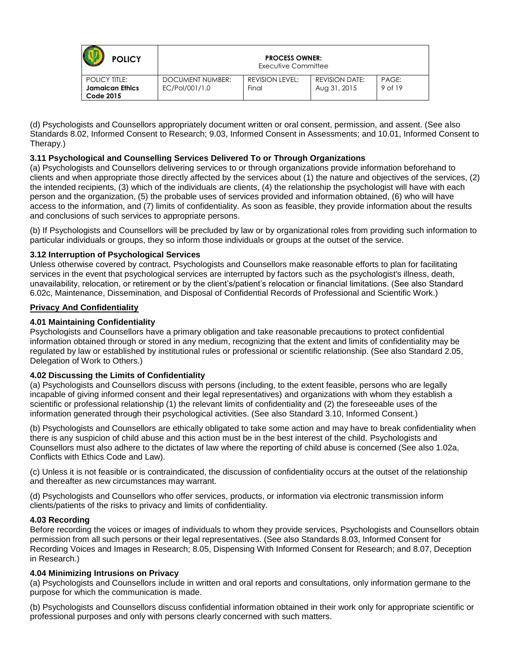| <b>POLICY</b>                                                      |                                    | <b>PROCESS OWNER:</b><br>Executive Committee |                                       |                  |  |
|--------------------------------------------------------------------|------------------------------------|----------------------------------------------|---------------------------------------|------------------|--|
| <b>POLICY TITLE:</b><br><b>Jamaican Ethics</b><br><b>Code 2015</b> | DOCUMENT NUMBER:<br>EC/Pol/001/1.0 | <b>REVISION LEVEL:</b><br>Final              | <b>REVISION DATE:</b><br>Aug 31, 2015 | PAGE:<br>9 of 19 |  |

(d) Psychologists and Counsellors appropriately document written or oral consent, permission, and assent. (See also Standards 8.02, Informed Consent to Research; 9.03, Informed Consent in Assessments; and 10.01, Informed Consent to Therapy.)

## **3.11 Psychological and Counselling Services Delivered To or Through Organizations**

(a) Psychologists and Counsellors delivering services to or through organizations provide information beforehand to clients and when appropriate those directly affected by the services about (1) the nature and objectives of the services, (2) the intended recipients, (3) which of the individuals are clients, (4) the relationship the psychologist will have with each person and the organization, (5) the probable uses of services provided and information obtained, (6) who will have access to the information, and (7) limits of confidentiality. As soon as feasible, they provide information about the results and conclusions of such services to appropriate persons.

(b) If Psychologists and Counsellors will be precluded by law or by organizational roles from providing such information to particular individuals or groups, they so inform those individuals or groups at the outset of the service.

# **3.12 Interruption of Psychological Services**

Unless otherwise covered by contract, Psychologists and Counsellors make reasonable efforts to plan for facilitating services in the event that psychological services are interrupted by factors such as the psychologist's illness, death, unavailability, relocation, or retirement or by the client's/patient's relocation or financial limitations. (See also Standard 6.02c, Maintenance, Dissemination, and Disposal of Confidential Records of Professional and Scientific Work.)

## <span id="page-8-0"></span>**Privacy And Confidentiality**

# <span id="page-8-1"></span>**4.01 Maintaining Confidentiality**

Psychologists and Counsellors have a primary obligation and take reasonable precautions to protect confidential information obtained through or stored in any medium, recognizing that the extent and limits of confidentiality may be regulated by law or established by institutional rules or professional or scientific relationship. (See also Standard 2.05, Delegation of Work to Others.)

## <span id="page-8-2"></span>**4.02 Discussing the Limits of Confidentiality**

(a) Psychologists and Counsellors discuss with persons (including, to the extent feasible, persons who are legally incapable of giving informed consent and their legal representatives) and organizations with whom they establish a scientific or professional relationship (1) the relevant limits of confidentiality and (2) the foreseeable uses of the information generated through their psychological activities. (See also Standard 3.10, Informed Consent.)

(b) Psychologists and Counsellors are ethically obligated to take some action and may have to break confidentiality when there is any suspicion of child abuse and this action must be in the best interest of the child. Psychologists and Counsellors must also adhere to the dictates of law where the reporting of child abuse is concerned (See also 1.02a, Conflicts with Ethics Code and Law).

(c) Unless it is not feasible or is contraindicated, the discussion of confidentiality occurs at the outset of the relationship and thereafter as new circumstances may warrant.

(d) Psychologists and Counsellors who offer services, products, or information via electronic transmission inform clients/patients of the risks to privacy and limits of confidentiality.

## <span id="page-8-3"></span>**4.03 Recording**

Before recording the voices or images of individuals to whom they provide services, Psychologists and Counsellors obtain permission from all such persons or their legal representatives. (See also Standards 8.03, Informed Consent for Recording Voices and Images in Research; 8.05, Dispensing With Informed Consent for Research; and 8.07, Deception in Research.)

## <span id="page-8-4"></span>**4.04 Minimizing Intrusions on Privacy**

(a) Psychologists and Counsellors include in written and oral reports and consultations, only information germane to the purpose for which the communication is made.

(b) Psychologists and Counsellors discuss confidential information obtained in their work only for appropriate scientific or professional purposes and only with persons clearly concerned with such matters.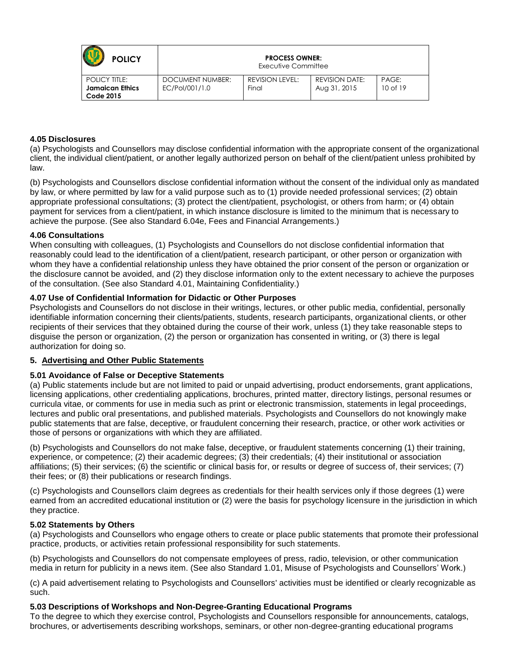| <b>POLICY</b>                                                      |                                    | <b>PROCESS OWNER:</b><br>Executive Committee |                                       |                       |  |
|--------------------------------------------------------------------|------------------------------------|----------------------------------------------|---------------------------------------|-----------------------|--|
| <b>POLICY TITLE:</b><br><b>Jamaican Ethics</b><br><b>Code 2015</b> | DOCUMENT NUMBER:<br>EC/Pol/001/1.0 | REVISION LEVEL:<br>Final                     | <b>REVISION DATE:</b><br>Aug 31, 2015 | PAGE:<br>$10$ of $19$ |  |

### <span id="page-9-0"></span>**4.05 Disclosures**

(a) Psychologists and Counsellors may disclose confidential information with the appropriate consent of the organizational client, the individual client/patient, or another legally authorized person on behalf of the client/patient unless prohibited by law.

(b) Psychologists and Counsellors disclose confidential information without the consent of the individual only as mandated by law, or where permitted by law for a valid purpose such as to (1) provide needed professional services; (2) obtain appropriate professional consultations; (3) protect the client/patient, psychologist, or others from harm; or (4) obtain payment for services from a client/patient, in which instance disclosure is limited to the minimum that is necessary to achieve the purpose. (See also Standard 6.04e, Fees and Financial Arrangements.)

### <span id="page-9-1"></span>**4.06 Consultations**

When consulting with colleagues, (1) Psychologists and Counsellors do not disclose confidential information that reasonably could lead to the identification of a client/patient, research participant, or other person or organization with whom they have a confidential relationship unless they have obtained the prior consent of the person or organization or the disclosure cannot be avoided, and (2) they disclose information only to the extent necessary to achieve the purposes of the consultation. (See also Standard 4.01, Maintaining Confidentiality.)

## <span id="page-9-2"></span>**4.07 Use of Confidential Information for Didactic or Other Purposes**

Psychologists and Counsellors do not disclose in their writings, lectures, or other public media, confidential, personally identifiable information concerning their clients/patients, students, research participants, organizational clients, or other recipients of their services that they obtained during the course of their work, unless (1) they take reasonable steps to disguise the person or organization, (2) the person or organization has consented in writing, or (3) there is legal authorization for doing so.

## <span id="page-9-3"></span>**5. Advertising and Other Public Statements**

## <span id="page-9-4"></span>**5.01 Avoidance of False or Deceptive Statements**

(a) Public statements include but are not limited to paid or unpaid advertising, product endorsements, grant applications, licensing applications, other credentialing applications, brochures, printed matter, directory listings, personal resumes or curricula vitae, or comments for use in media such as print or electronic transmission, statements in legal proceedings, lectures and public oral presentations, and published materials. Psychologists and Counsellors do not knowingly make public statements that are false, deceptive, or fraudulent concerning their research, practice, or other work activities or those of persons or organizations with which they are affiliated.

(b) Psychologists and Counsellors do not make false, deceptive, or fraudulent statements concerning (1) their training, experience, or competence; (2) their academic degrees; (3) their credentials; (4) their institutional or association affiliations; (5) their services; (6) the scientific or clinical basis for, or results or degree of success of, their services; (7) their fees; or (8) their publications or research findings.

(c) Psychologists and Counsellors claim degrees as credentials for their health services only if those degrees (1) were earned from an accredited educational institution or (2) were the basis for psychology licensure in the jurisdiction in which they practice.

#### <span id="page-9-5"></span>**5.02 Statements by Others**

(a) Psychologists and Counsellors who engage others to create or place public statements that promote their professional practice, products, or activities retain professional responsibility for such statements.

(b) Psychologists and Counsellors do not compensate employees of press, radio, television, or other communication media in return for publicity in a news item. (See also Standard 1.01, Misuse of Psychologists and Counsellors' Work.)

(c) A paid advertisement relating to Psychologists and Counsellors' activities must be identified or clearly recognizable as such.

### <span id="page-9-6"></span>**5.03 Descriptions of Workshops and Non-Degree-Granting Educational Programs**

To the degree to which they exercise control, Psychologists and Counsellors responsible for announcements, catalogs, brochures, or advertisements describing workshops, seminars, or other non-degree-granting educational programs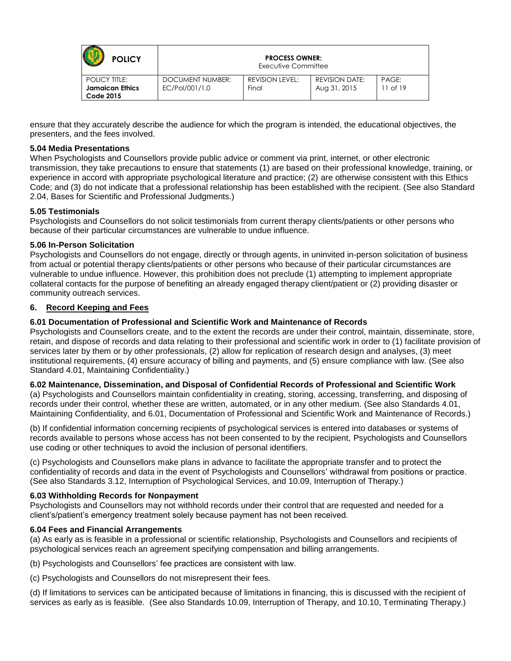| <b>POLICY</b>                                                      | <b>PROCESS OWNER:</b><br>Executive Committee |                          |                                       |                       |
|--------------------------------------------------------------------|----------------------------------------------|--------------------------|---------------------------------------|-----------------------|
| <b>POLICY TITLE:</b><br><b>Jamaican Ethics</b><br><b>Code 2015</b> | DOCUMENT NUMBER:<br>EC/Pol/001/1.0           | REVISION LEVEL:<br>Final | <b>REVISION DATE:</b><br>Aug 31, 2015 | PAGE:<br>$11$ of $19$ |

ensure that they accurately describe the audience for which the program is intended, the educational objectives, the presenters, and the fees involved.

### <span id="page-10-0"></span>**5.04 Media Presentations**

When Psychologists and Counsellors provide public advice or comment via print, internet, or other electronic transmission, they take precautions to ensure that statements (1) are based on their professional knowledge, training, or experience in accord with appropriate psychological literature and practice; (2) are otherwise consistent with this Ethics Code; and (3) do not indicate that a professional relationship has been established with the recipient. (See also Standard 2.04, Bases for Scientific and Professional Judgments.)

### <span id="page-10-1"></span>**5.05 Testimonials**

Psychologists and Counsellors do not solicit testimonials from current therapy clients/patients or other persons who because of their particular circumstances are vulnerable to undue influence.

#### <span id="page-10-2"></span>**5.06 In-Person Solicitation**

Psychologists and Counsellors do not engage, directly or through agents, in uninvited in-person solicitation of business from actual or potential therapy clients/patients or other persons who because of their particular circumstances are vulnerable to undue influence. However, this prohibition does not preclude (1) attempting to implement appropriate collateral contacts for the purpose of benefiting an already engaged therapy client/patient or (2) providing disaster or community outreach services.

## <span id="page-10-3"></span>**6. Record Keeping and Fees**

## **6.01 Documentation of Professional and Scientific Work and Maintenance of Records**

Psychologists and Counsellors create, and to the extent the records are under their control, maintain, disseminate, store, retain, and dispose of records and data relating to their professional and scientific work in order to (1) facilitate provision of services later by them or by other professionals, (2) allow for replication of research design and analyses, (3) meet institutional requirements, (4) ensure accuracy of billing and payments, and (5) ensure compliance with law. (See also Standard 4.01, Maintaining Confidentiality.)

#### **6.02 Maintenance, Dissemination, and Disposal of Confidential Records of Professional and Scientific Work**

(a) Psychologists and Counsellors maintain confidentiality in creating, storing, accessing, transferring, and disposing of records under their control, whether these are written, automated, or in any other medium. (See also Standards 4.01, Maintaining Confidentiality, and 6.01, Documentation of Professional and Scientific Work and Maintenance of Records.)

(b) If confidential information concerning recipients of psychological services is entered into databases or systems of records available to persons whose access has not been consented to by the recipient, Psychologists and Counsellors use coding or other techniques to avoid the inclusion of personal identifiers.

(c) Psychologists and Counsellors make plans in advance to facilitate the appropriate transfer and to protect the confidentiality of records and data in the event of Psychologists and Counsellors' withdrawal from positions or practice. (See also Standards 3.12, Interruption of Psychological Services, and 10.09, Interruption of Therapy.)

#### **6.03 Withholding Records for Nonpayment**

Psychologists and Counsellors may not withhold records under their control that are requested and needed for a client's/patient's emergency treatment solely because payment has not been received.

#### **6.04 Fees and Financial Arrangements**

(a) As early as is feasible in a professional or scientific relationship, Psychologists and Counsellors and recipients of psychological services reach an agreement specifying compensation and billing arrangements.

(b) Psychologists and Counsellors' fee practices are consistent with law.

(c) Psychologists and Counsellors do not misrepresent their fees.

(d) If limitations to services can be anticipated because of limitations in financing, this is discussed with the recipient of services as early as is feasible. (See also Standards 10.09, Interruption of Therapy, and 10.10, Terminating Therapy.)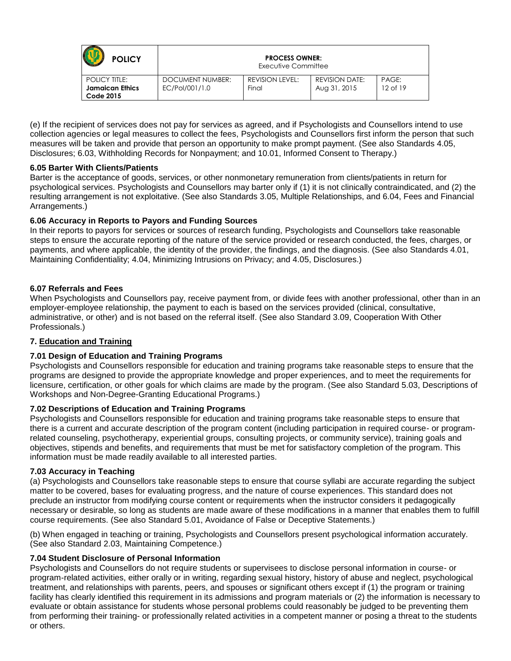| <b>POLICY</b>                                                      | <b>PROCESS OWNER:</b><br>Executive Committee |                                 |                                       |                   |
|--------------------------------------------------------------------|----------------------------------------------|---------------------------------|---------------------------------------|-------------------|
| <b>POLICY TITLE:</b><br><b>Jamaican Ethics</b><br><b>Code 2015</b> | DOCUMENT NUMBER:<br>EC/Pol/001/1.0           | <b>REVISION LEVEL:</b><br>Final | <b>REVISION DATE:</b><br>Aug 31, 2015 | PAGE:<br>12 of 19 |

(e) If the recipient of services does not pay for services as agreed, and if Psychologists and Counsellors intend to use collection agencies or legal measures to collect the fees, Psychologists and Counsellors first inform the person that such measures will be taken and provide that person an opportunity to make prompt payment. (See also Standards 4.05, Disclosures; 6.03, Withholding Records for Nonpayment; and 10.01, Informed Consent to Therapy.)

## **6.05 Barter With Clients/Patients**

Barter is the acceptance of goods, services, or other nonmonetary remuneration from clients/patients in return for psychological services. Psychologists and Counsellors may barter only if (1) it is not clinically contraindicated, and (2) the resulting arrangement is not exploitative. (See also Standards 3.05, Multiple Relationships, and 6.04, Fees and Financial Arrangements.)

# **6.06 Accuracy in Reports to Payors and Funding Sources**

In their reports to payors for services or sources of research funding, Psychologists and Counsellors take reasonable steps to ensure the accurate reporting of the nature of the service provided or research conducted, the fees, charges, or payments, and where applicable, the identity of the provider, the findings, and the diagnosis. (See also Standards 4.01, Maintaining Confidentiality; 4.04, Minimizing Intrusions on Privacy; and 4.05, Disclosures.)

# **6.07 Referrals and Fees**

When Psychologists and Counsellors pay, receive payment from, or divide fees with another professional, other than in an employer-employee relationship, the payment to each is based on the services provided (clinical, consultative, administrative, or other) and is not based on the referral itself. (See also Standard 3.09, Cooperation With Other Professionals.)

# <span id="page-11-0"></span>**7. Education and Training**

## <span id="page-11-1"></span>**7.01 Design of Education and Training Programs**

Psychologists and Counsellors responsible for education and training programs take reasonable steps to ensure that the programs are designed to provide the appropriate knowledge and proper experiences, and to meet the requirements for licensure, certification, or other goals for which claims are made by the program. (See also Standard 5.03, Descriptions of Workshops and Non-Degree-Granting Educational Programs.)

## <span id="page-11-2"></span>**7.02 Descriptions of Education and Training Programs**

Psychologists and Counsellors responsible for education and training programs take reasonable steps to ensure that there is a current and accurate description of the program content (including participation in required course- or programrelated counseling, psychotherapy, experiential groups, consulting projects, or community service), training goals and objectives, stipends and benefits, and requirements that must be met for satisfactory completion of the program. This information must be made readily available to all interested parties.

## <span id="page-11-3"></span>**7.03 Accuracy in Teaching**

(a) Psychologists and Counsellors take reasonable steps to ensure that course syllabi are accurate regarding the subject matter to be covered, bases for evaluating progress, and the nature of course experiences. This standard does not preclude an instructor from modifying course content or requirements when the instructor considers it pedagogically necessary or desirable, so long as students are made aware of these modifications in a manner that enables them to fulfill course requirements. (See also Standard 5.01, Avoidance of False or Deceptive Statements.)

(b) When engaged in teaching or training, Psychologists and Counsellors present psychological information accurately. (See also Standard 2.03, Maintaining Competence.)

## <span id="page-11-4"></span>**7.04 Student Disclosure of Personal Information**

Psychologists and Counsellors do not require students or supervisees to disclose personal information in course- or program-related activities, either orally or in writing, regarding sexual history, history of abuse and neglect, psychological treatment, and relationships with parents, peers, and spouses or significant others except if (1) the program or training facility has clearly identified this requirement in its admissions and program materials or (2) the information is necessary to evaluate or obtain assistance for students whose personal problems could reasonably be judged to be preventing them from performing their training- or professionally related activities in a competent manner or posing a threat to the students or others.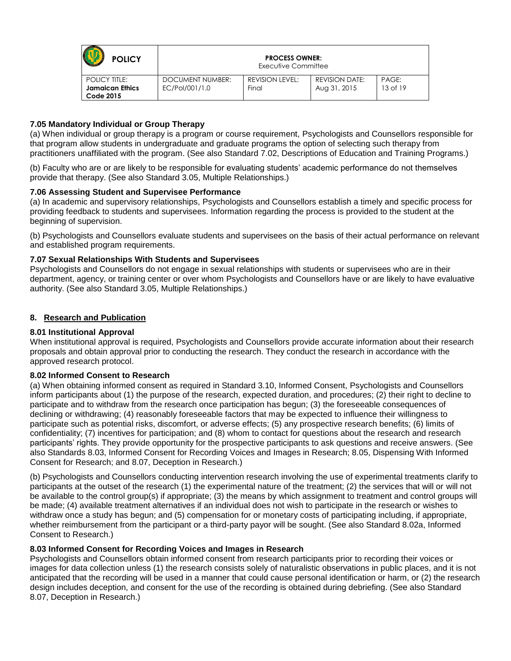| <b>POLICY</b>                                                      | <b>PROCESS OWNER:</b><br>Executive Committee |                          |                                       |                   |
|--------------------------------------------------------------------|----------------------------------------------|--------------------------|---------------------------------------|-------------------|
| <b>POLICY TITLE:</b><br><b>Jamaican Ethics</b><br><b>Code 2015</b> | DOCUMENT NUMBER:<br>EC/Pol/001/1.0           | REVISION LEVEL:<br>Final | <b>REVISION DATE:</b><br>Aug 31, 2015 | PAGE:<br>13 of 19 |

## <span id="page-12-0"></span>**7.05 Mandatory Individual or Group Therapy**

(a) When individual or group therapy is a program or course requirement, Psychologists and Counsellors responsible for that program allow students in undergraduate and graduate programs the option of selecting such therapy from practitioners unaffiliated with the program. (See also Standard 7.02, Descriptions of Education and Training Programs.)

(b) Faculty who are or are likely to be responsible for evaluating students' academic performance do not themselves provide that therapy. (See also Standard 3.05, Multiple Relationships.)

## <span id="page-12-1"></span>**7.06 Assessing Student and Supervisee Performance**

(a) In academic and supervisory relationships, Psychologists and Counsellors establish a timely and specific process for providing feedback to students and supervisees. Information regarding the process is provided to the student at the beginning of supervision.

(b) Psychologists and Counsellors evaluate students and supervisees on the basis of their actual performance on relevant and established program requirements.

### <span id="page-12-2"></span>**7.07 Sexual Relationships With Students and Supervisees**

Psychologists and Counsellors do not engage in sexual relationships with students or supervisees who are in their department, agency, or training center or over whom Psychologists and Counsellors have or are likely to have evaluative authority. (See also Standard 3.05, Multiple Relationships.)

### <span id="page-12-3"></span>**8. Research and Publication**

### <span id="page-12-4"></span>**8.01 Institutional Approval**

When institutional approval is required, Psychologists and Counsellors provide accurate information about their research proposals and obtain approval prior to conducting the research. They conduct the research in accordance with the approved research protocol.

#### <span id="page-12-5"></span>**8.02 Informed Consent to Research**

(a) When obtaining informed consent as required in Standard 3.10, Informed Consent, Psychologists and Counsellors inform participants about (1) the purpose of the research, expected duration, and procedures; (2) their right to decline to participate and to withdraw from the research once participation has begun; (3) the foreseeable consequences of declining or withdrawing; (4) reasonably foreseeable factors that may be expected to influence their willingness to participate such as potential risks, discomfort, or adverse effects; (5) any prospective research benefits; (6) limits of confidentiality; (7) incentives for participation; and (8) whom to contact for questions about the research and research participants' rights. They provide opportunity for the prospective participants to ask questions and receive answers. (See also Standards 8.03, Informed Consent for Recording Voices and Images in Research; 8.05, Dispensing With Informed Consent for Research; and 8.07, Deception in Research.)

(b) Psychologists and Counsellors conducting intervention research involving the use of experimental treatments clarify to participants at the outset of the research (1) the experimental nature of the treatment; (2) the services that will or will not be available to the control group(s) if appropriate; (3) the means by which assignment to treatment and control groups will be made; (4) available treatment alternatives if an individual does not wish to participate in the research or wishes to withdraw once a study has begun; and (5) compensation for or monetary costs of participating including, if appropriate, whether reimbursement from the participant or a third-party payor will be sought. (See also Standard 8.02a, Informed Consent to Research.)

#### <span id="page-12-6"></span>**8.03 Informed Consent for Recording Voices and Images in Research**

<span id="page-12-7"></span>Psychologists and Counsellors obtain informed consent from research participants prior to recording their voices or images for data collection unless (1) the research consists solely of naturalistic observations in public places, and it is not anticipated that the recording will be used in a manner that could cause personal identification or harm, or (2) the research design includes deception, and consent for the use of the recording is obtained during debriefing. (See also Standard 8.07, Deception in Research.)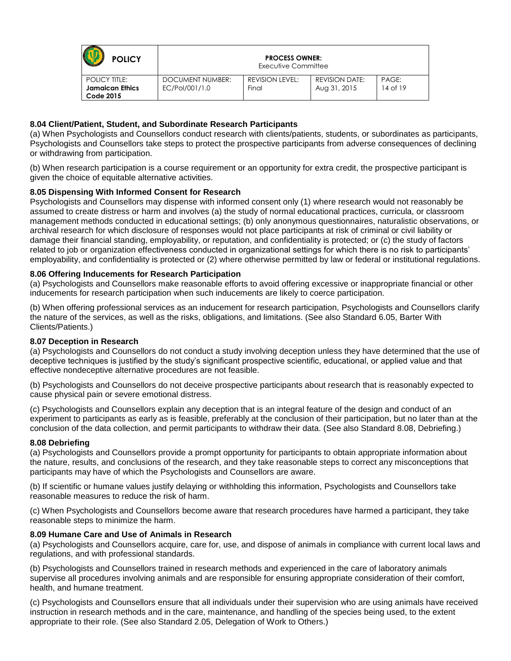| <b>POLICY</b>                                                      | <b>PROCESS OWNER:</b><br>Executive Committee |                          |                                       |                   |
|--------------------------------------------------------------------|----------------------------------------------|--------------------------|---------------------------------------|-------------------|
| <b>POLICY TITLE:</b><br><b>Jamaican Ethics</b><br><b>Code 2015</b> | DOCUMENT NUMBER:<br>EC/Pol/001/1.0           | REVISION LEVEL:<br>Final | <b>REVISION DATE:</b><br>Aug 31, 2015 | PAGE:<br>14 of 19 |

## **8.04 Client/Patient, Student, and Subordinate Research Participants**

(a) When Psychologists and Counsellors conduct research with clients/patients, students, or subordinates as participants, Psychologists and Counsellors take steps to protect the prospective participants from adverse consequences of declining or withdrawing from participation.

(b) When research participation is a course requirement or an opportunity for extra credit, the prospective participant is given the choice of equitable alternative activities.

## <span id="page-13-0"></span>**8.05 Dispensing With Informed Consent for Research**

Psychologists and Counsellors may dispense with informed consent only (1) where research would not reasonably be assumed to create distress or harm and involves (a) the study of normal educational practices, curricula, or classroom management methods conducted in educational settings; (b) only anonymous questionnaires, naturalistic observations, or archival research for which disclosure of responses would not place participants at risk of criminal or civil liability or damage their financial standing, employability, or reputation, and confidentiality is protected; or (c) the study of factors related to job or organization effectiveness conducted in organizational settings for which there is no risk to participants' employability, and confidentiality is protected or (2) where otherwise permitted by law or federal or institutional regulations.

## <span id="page-13-1"></span>**8.06 Offering Inducements for Research Participation**

(a) Psychologists and Counsellors make reasonable efforts to avoid offering excessive or inappropriate financial or other inducements for research participation when such inducements are likely to coerce participation.

(b) When offering professional services as an inducement for research participation, Psychologists and Counsellors clarify the nature of the services, as well as the risks, obligations, and limitations. (See also Standard 6.05, Barter With Clients/Patients.)

## <span id="page-13-2"></span>**8.07 Deception in Research**

(a) Psychologists and Counsellors do not conduct a study involving deception unless they have determined that the use of deceptive techniques is justified by the study's significant prospective scientific, educational, or applied value and that effective nondeceptive alternative procedures are not feasible.

(b) Psychologists and Counsellors do not deceive prospective participants about research that is reasonably expected to cause physical pain or severe emotional distress.

(c) Psychologists and Counsellors explain any deception that is an integral feature of the design and conduct of an experiment to participants as early as is feasible, preferably at the conclusion of their participation, but no later than at the conclusion of the data collection, and permit participants to withdraw their data. (See also Standard 8.08, Debriefing.)

#### <span id="page-13-3"></span>**8.08 Debriefing**

(a) Psychologists and Counsellors provide a prompt opportunity for participants to obtain appropriate information about the nature, results, and conclusions of the research, and they take reasonable steps to correct any misconceptions that participants may have of which the Psychologists and Counsellors are aware.

(b) If scientific or humane values justify delaying or withholding this information, Psychologists and Counsellors take reasonable measures to reduce the risk of harm.

(c) When Psychologists and Counsellors become aware that research procedures have harmed a participant, they take reasonable steps to minimize the harm.

## <span id="page-13-4"></span>**8.09 Humane Care and Use of Animals in Research**

(a) Psychologists and Counsellors acquire, care for, use, and dispose of animals in compliance with current local laws and regulations, and with professional standards.

(b) Psychologists and Counsellors trained in research methods and experienced in the care of laboratory animals supervise all procedures involving animals and are responsible for ensuring appropriate consideration of their comfort, health, and humane treatment.

(c) Psychologists and Counsellors ensure that all individuals under their supervision who are using animals have received instruction in research methods and in the care, maintenance, and handling of the species being used, to the extent appropriate to their role. (See also Standard 2.05, Delegation of Work to Others.)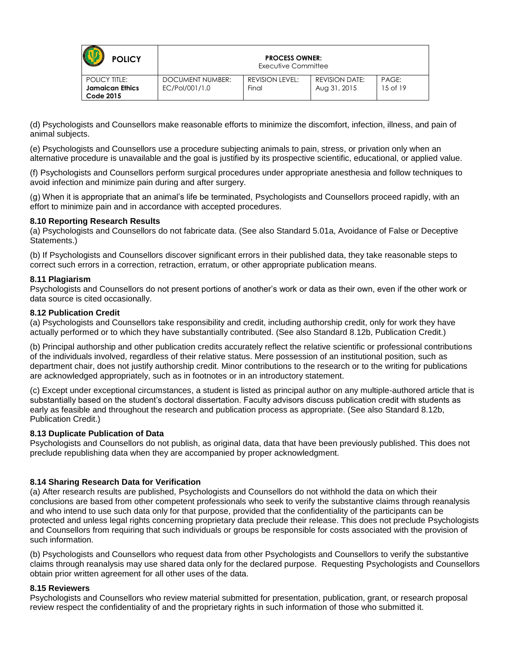| <b>POLICY</b>                                                      | <b>PROCESS OWNER:</b><br>Executive Committee |                          |                                       |                       |
|--------------------------------------------------------------------|----------------------------------------------|--------------------------|---------------------------------------|-----------------------|
| <b>POLICY TITLE:</b><br><b>Jamaican Ethics</b><br><b>Code 2015</b> | DOCUMENT NUMBER:<br>EC/Pol/001/1.0           | REVISION LEVEL:<br>Final | <b>REVISION DATE:</b><br>Aug 31, 2015 | PAGE:<br>$15$ of $19$ |

(d) Psychologists and Counsellors make reasonable efforts to minimize the discomfort, infection, illness, and pain of animal subjects.

(e) Psychologists and Counsellors use a procedure subjecting animals to pain, stress, or privation only when an alternative procedure is unavailable and the goal is justified by its prospective scientific, educational, or applied value.

(f) Psychologists and Counsellors perform surgical procedures under appropriate anesthesia and follow techniques to avoid infection and minimize pain during and after surgery.

(g) When it is appropriate that an animal's life be terminated, Psychologists and Counsellors proceed rapidly, with an effort to minimize pain and in accordance with accepted procedures.

#### <span id="page-14-0"></span>**8.10 Reporting Research Results**

(a) Psychologists and Counsellors do not fabricate data. (See also Standard 5.01a, Avoidance of False or Deceptive Statements.)

(b) If Psychologists and Counsellors discover significant errors in their published data, they take reasonable steps to correct such errors in a correction, retraction, erratum, or other appropriate publication means.

#### <span id="page-14-1"></span>**8.11 Plagiarism**

Psychologists and Counsellors do not present portions of another's work or data as their own, even if the other work or data source is cited occasionally.

#### <span id="page-14-2"></span>**8.12 Publication Credit**

(a) Psychologists and Counsellors take responsibility and credit, including authorship credit, only for work they have actually performed or to which they have substantially contributed. (See also Standard 8.12b, Publication Credit.)

(b) Principal authorship and other publication credits accurately reflect the relative scientific or professional contributions of the individuals involved, regardless of their relative status. Mere possession of an institutional position, such as department chair, does not justify authorship credit. Minor contributions to the research or to the writing for publications are acknowledged appropriately, such as in footnotes or in an introductory statement.

(c) Except under exceptional circumstances, a student is listed as principal author on any multiple-authored article that is substantially based on the student's doctoral dissertation. Faculty advisors discuss publication credit with students as early as feasible and throughout the research and publication process as appropriate. (See also Standard 8.12b, Publication Credit.)

#### <span id="page-14-3"></span>**8.13 Duplicate Publication of Data**

Psychologists and Counsellors do not publish, as original data, data that have been previously published. This does not preclude republishing data when they are accompanied by proper acknowledgment.

#### <span id="page-14-4"></span>**8.14 Sharing Research Data for Verification**

(a) After research results are published, Psychologists and Counsellors do not withhold the data on which their conclusions are based from other competent professionals who seek to verify the substantive claims through reanalysis and who intend to use such data only for that purpose, provided that the confidentiality of the participants can be protected and unless legal rights concerning proprietary data preclude their release. This does not preclude Psychologists and Counsellors from requiring that such individuals or groups be responsible for costs associated with the provision of such information.

(b) Psychologists and Counsellors who request data from other Psychologists and Counsellors to verify the substantive claims through reanalysis may use shared data only for the declared purpose. Requesting Psychologists and Counsellors obtain prior written agreement for all other uses of the data.

### <span id="page-14-5"></span>**8.15 Reviewers**

<span id="page-14-6"></span>Psychologists and Counsellors who review material submitted for presentation, publication, grant, or research proposal review respect the confidentiality of and the proprietary rights in such information of those who submitted it.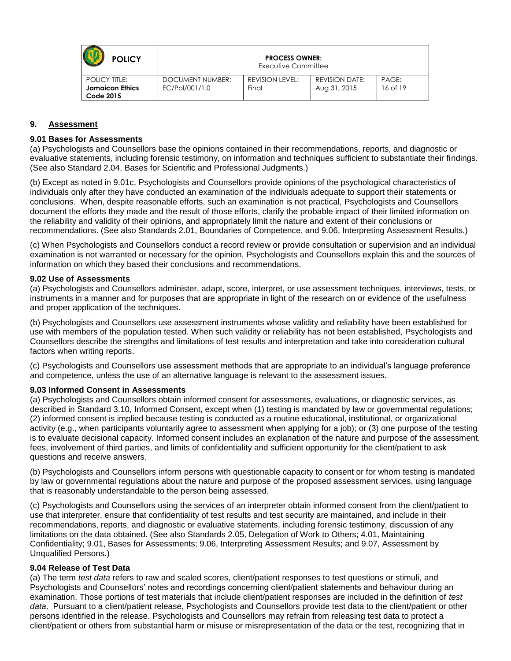| <b>POLICY</b>                                                      | <b>PROCESS OWNER:</b><br>Executive Committee |                          |                                       |                   |
|--------------------------------------------------------------------|----------------------------------------------|--------------------------|---------------------------------------|-------------------|
| <b>POLICY TITLE:</b><br><b>Jamaican Ethics</b><br><b>Code 2015</b> | DOCUMENT NUMBER:<br>EC/Pol/001/1.0           | REVISION LEVEL:<br>Final | <b>REVISION DATE:</b><br>Aug 31, 2015 | PAGE:<br>16 of 19 |

## **9. Assessment**

### <span id="page-15-0"></span>**9.01 Bases for Assessments**

(a) Psychologists and Counsellors base the opinions contained in their recommendations, reports, and diagnostic or evaluative statements, including forensic testimony, on information and techniques sufficient to substantiate their findings. (See also Standard 2.04, Bases for Scientific and Professional Judgments.)

(b) Except as noted in 9.01c, Psychologists and Counsellors provide opinions of the psychological characteristics of individuals only after they have conducted an examination of the individuals adequate to support their statements or conclusions. When, despite reasonable efforts, such an examination is not practical, Psychologists and Counsellors document the efforts they made and the result of those efforts, clarify the probable impact of their limited information on the reliability and validity of their opinions, and appropriately limit the nature and extent of their conclusions or recommendations. (See also Standards 2.01, Boundaries of Competence, and 9.06, Interpreting Assessment Results.)

(c) When Psychologists and Counsellors conduct a record review or provide consultation or supervision and an individual examination is not warranted or necessary for the opinion, Psychologists and Counsellors explain this and the sources of information on which they based their conclusions and recommendations.

### <span id="page-15-1"></span>**9.02 Use of Assessments**

(a) Psychologists and Counsellors administer, adapt, score, interpret, or use assessment techniques, interviews, tests, or instruments in a manner and for purposes that are appropriate in light of the research on or evidence of the usefulness and proper application of the techniques.

(b) Psychologists and Counsellors use assessment instruments whose validity and reliability have been established for use with members of the population tested. When such validity or reliability has not been established, Psychologists and Counsellors describe the strengths and limitations of test results and interpretation and take into consideration cultural factors when writing reports.

(c) Psychologists and Counsellors use assessment methods that are appropriate to an individual's language preference and competence, unless the use of an alternative language is relevant to the assessment issues.

#### <span id="page-15-2"></span>**9.03 Informed Consent in Assessments**

(a) Psychologists and Counsellors obtain informed consent for assessments, evaluations, or diagnostic services, as described in Standard 3.10, Informed Consent, except when (1) testing is mandated by law or governmental regulations; (2) informed consent is implied because testing is conducted as a routine educational, institutional, or organizational activity (e.g., when participants voluntarily agree to assessment when applying for a job); or (3) one purpose of the testing is to evaluate decisional capacity. Informed consent includes an explanation of the nature and purpose of the assessment, fees, involvement of third parties, and limits of confidentiality and sufficient opportunity for the client/patient to ask questions and receive answers.

(b) Psychologists and Counsellors inform persons with questionable capacity to consent or for whom testing is mandated by law or governmental regulations about the nature and purpose of the proposed assessment services, using language that is reasonably understandable to the person being assessed.

(c) Psychologists and Counsellors using the services of an interpreter obtain informed consent from the client/patient to use that interpreter, ensure that confidentiality of test results and test security are maintained, and include in their recommendations, reports, and diagnostic or evaluative statements, including forensic testimony, discussion of any limitations on the data obtained. (See also Standards 2.05, Delegation of Work to Others; 4.01, Maintaining Confidentiality; 9.01, Bases for Assessments; 9.06, Interpreting Assessment Results; and 9.07, Assessment by Unqualified Persons.)

#### <span id="page-15-3"></span>**9.04 Release of Test Data**

(a) The term *test data* refers to raw and scaled scores, client/patient responses to test questions or stimuli, and Psychologists and Counsellors' notes and recordings concerning client/patient statements and behaviour during an examination. Those portions of test materials that include client/patient responses are included in the definition of *test data*. Pursuant to a client/patient release, Psychologists and Counsellors provide test data to the client/patient or other persons identified in the release. Psychologists and Counsellors may refrain from releasing test data to protect a client/patient or others from substantial harm or misuse or misrepresentation of the data or the test, recognizing that in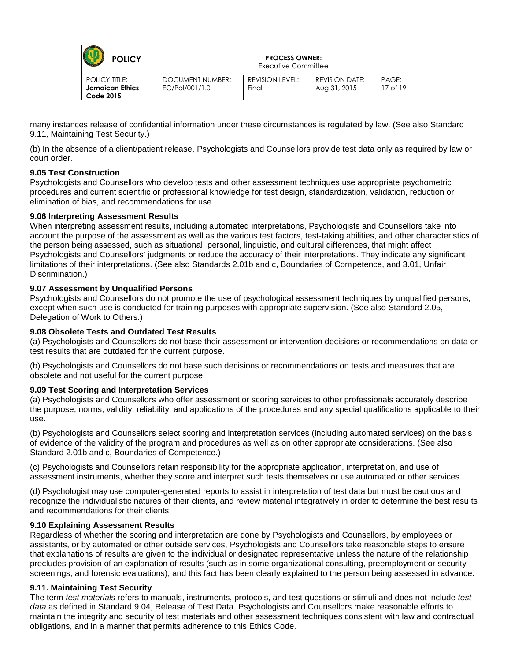| <b>POLICY</b>                                                      | <b>PROCESS OWNER:</b><br>Executive Committee |                                 |                                       |                       |
|--------------------------------------------------------------------|----------------------------------------------|---------------------------------|---------------------------------------|-----------------------|
| <b>POLICY TITLE:</b><br><b>Jamaican Ethics</b><br><b>Code 2015</b> | DOCUMENT NUMBER:<br>EC/Pol/001/1.0           | <b>REVISION LEVEL:</b><br>Final | <b>REVISION DATE:</b><br>Aug 31, 2015 | PAGE:<br>$17$ of $19$ |

many instances release of confidential information under these circumstances is regulated by law. (See also Standard 9.11, Maintaining Test Security.)

(b) In the absence of a client/patient release, Psychologists and Counsellors provide test data only as required by law or court order.

### <span id="page-16-0"></span>**9.05 Test Construction**

Psychologists and Counsellors who develop tests and other assessment techniques use appropriate psychometric procedures and current scientific or professional knowledge for test design, standardization, validation, reduction or elimination of bias, and recommendations for use.

### <span id="page-16-1"></span>**9.06 Interpreting Assessment Results**

When interpreting assessment results, including automated interpretations, Psychologists and Counsellors take into account the purpose of the assessment as well as the various test factors, test-taking abilities, and other characteristics of the person being assessed, such as situational, personal, linguistic, and cultural differences, that might affect Psychologists and Counsellors' judgments or reduce the accuracy of their interpretations. They indicate any significant limitations of their interpretations. (See also Standards 2.01b and c, Boundaries of Competence, and 3.01, Unfair Discrimination.)

### <span id="page-16-2"></span>**9.07 Assessment by Unqualified Persons**

Psychologists and Counsellors do not promote the use of psychological assessment techniques by unqualified persons, except when such use is conducted for training purposes with appropriate supervision. (See also Standard 2.05, Delegation of Work to Others.)

### <span id="page-16-3"></span>**9.08 Obsolete Tests and Outdated Test Results**

(a) Psychologists and Counsellors do not base their assessment or intervention decisions or recommendations on data or test results that are outdated for the current purpose.

(b) Psychologists and Counsellors do not base such decisions or recommendations on tests and measures that are obsolete and not useful for the current purpose.

#### <span id="page-16-4"></span>**9.09 Test Scoring and Interpretation Services**

(a) Psychologists and Counsellors who offer assessment or scoring services to other professionals accurately describe the purpose, norms, validity, reliability, and applications of the procedures and any special qualifications applicable to their use.

(b) Psychologists and Counsellors select scoring and interpretation services (including automated services) on the basis of evidence of the validity of the program and procedures as well as on other appropriate considerations. (See also Standard 2.01b and c, Boundaries of Competence.)

(c) Psychologists and Counsellors retain responsibility for the appropriate application, interpretation, and use of assessment instruments, whether they score and interpret such tests themselves or use automated or other services.

(d) Psychologist may use computer-generated reports to assist in interpretation of test data but must be cautious and recognize the individualistic natures of their clients, and review material integratively in order to determine the best results and recommendations for their clients.

#### <span id="page-16-5"></span>**9.10 Explaining Assessment Results**

Regardless of whether the scoring and interpretation are done by Psychologists and Counsellors, by employees or assistants, or by automated or other outside services, Psychologists and Counsellors take reasonable steps to ensure that explanations of results are given to the individual or designated representative unless the nature of the relationship precludes provision of an explanation of results (such as in some organizational consulting, preemployment or security screenings, and forensic evaluations), and this fact has been clearly explained to the person being assessed in advance.

#### <span id="page-16-6"></span>**9.11. Maintaining Test Security**

The term *test materials* refers to manuals, instruments, protocols, and test questions or stimuli and does not include *test data* as defined in Standard 9.04, Release of Test Data. Psychologists and Counsellors make reasonable efforts to maintain the integrity and security of test materials and other assessment techniques consistent with law and contractual obligations, and in a manner that permits adherence to this Ethics Code.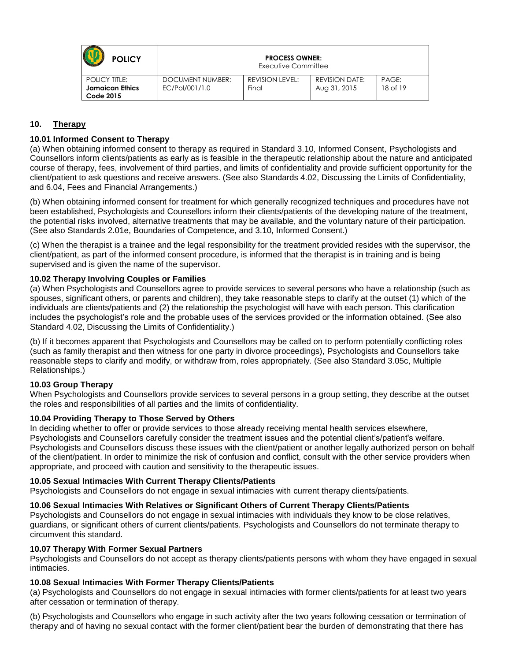| <b>POLICY</b>                                                      | <b>PROCESS OWNER:</b><br>Executive Committee |                          |                                       |                   |
|--------------------------------------------------------------------|----------------------------------------------|--------------------------|---------------------------------------|-------------------|
| <b>POLICY TITLE:</b><br><b>Jamaican Ethics</b><br><b>Code 2015</b> | DOCUMENT NUMBER:<br>EC/Pol/001/1.0           | REVISION LEVEL:<br>Final | <b>REVISION DATE:</b><br>Aug 31, 2015 | PAGE:<br>18 of 19 |

# <span id="page-17-0"></span>**10. Therapy**

## <span id="page-17-1"></span>**10.01 Informed Consent to Therapy**

(a) When obtaining informed consent to therapy as required in Standard 3.10, Informed Consent, Psychologists and Counsellors inform clients/patients as early as is feasible in the therapeutic relationship about the nature and anticipated course of therapy, fees, involvement of third parties, and limits of confidentiality and provide sufficient opportunity for the client/patient to ask questions and receive answers. (See also Standards 4.02, Discussing the Limits of Confidentiality, and 6.04, Fees and Financial Arrangements.)

(b) When obtaining informed consent for treatment for which generally recognized techniques and procedures have not been established, Psychologists and Counsellors inform their clients/patients of the developing nature of the treatment, the potential risks involved, alternative treatments that may be available, and the voluntary nature of their participation. (See also Standards 2.01e, Boundaries of Competence, and 3.10, Informed Consent.)

(c) When the therapist is a trainee and the legal responsibility for the treatment provided resides with the supervisor, the client/patient, as part of the informed consent procedure, is informed that the therapist is in training and is being supervised and is given the name of the supervisor.

## <span id="page-17-2"></span>**10.02 Therapy Involving Couples or Families**

(a) When Psychologists and Counsellors agree to provide services to several persons who have a relationship (such as spouses, significant others, or parents and children), they take reasonable steps to clarify at the outset (1) which of the individuals are clients/patients and (2) the relationship the psychologist will have with each person. This clarification includes the psychologist's role and the probable uses of the services provided or the information obtained. (See also Standard 4.02, Discussing the Limits of Confidentiality.)

(b) If it becomes apparent that Psychologists and Counsellors may be called on to perform potentially conflicting roles (such as family therapist and then witness for one party in divorce proceedings), Psychologists and Counsellors take reasonable steps to clarify and modify, or withdraw from, roles appropriately. (See also Standard 3.05c, Multiple Relationships.)

## <span id="page-17-3"></span>**10.03 Group Therapy**

When Psychologists and Counsellors provide services to several persons in a group setting, they describe at the outset the roles and responsibilities of all parties and the limits of confidentiality.

## <span id="page-17-4"></span>**10.04 Providing Therapy to Those Served by Others**

In deciding whether to offer or provide services to those already receiving mental health services elsewhere, Psychologists and Counsellors carefully consider the treatment issues and the potential client's/patient's welfare. Psychologists and Counsellors discuss these issues with the client/patient or another legally authorized person on behalf of the client/patient. In order to minimize the risk of confusion and conflict, consult with the other service providers when appropriate, and proceed with caution and sensitivity to the therapeutic issues.

## <span id="page-17-5"></span>**10.05 Sexual Intimacies With Current Therapy Clients/Patients**

Psychologists and Counsellors do not engage in sexual intimacies with current therapy clients/patients.

## <span id="page-17-6"></span>**10.06 Sexual Intimacies With Relatives or Significant Others of Current Therapy Clients/Patients**

Psychologists and Counsellors do not engage in sexual intimacies with individuals they know to be close relatives, guardians, or significant others of current clients/patients. Psychologists and Counsellors do not terminate therapy to circumvent this standard.

# <span id="page-17-7"></span>**10.07 Therapy With Former Sexual Partners**

Psychologists and Counsellors do not accept as therapy clients/patients persons with whom they have engaged in sexual intimacies.

## <span id="page-17-8"></span>**10.08 Sexual Intimacies With Former Therapy Clients/Patients**

(a) Psychologists and Counsellors do not engage in sexual intimacies with former clients/patients for at least two years after cessation or termination of therapy.

(b) Psychologists and Counsellors who engage in such activity after the two years following cessation or termination of therapy and of having no sexual contact with the former client/patient bear the burden of demonstrating that there has